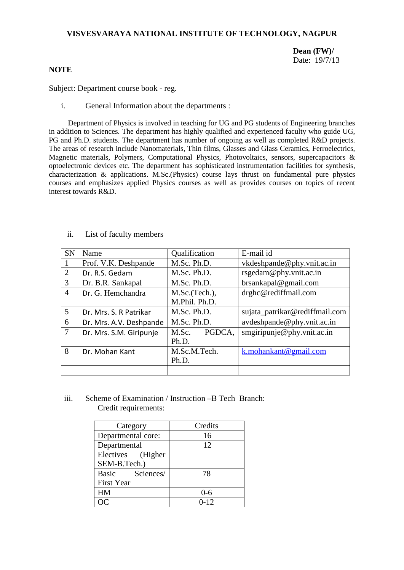# **VISVESVARAYA NATIONAL INSTITUTE OF TECHNOLOGY, NAGPUR**

# **Dean (FW)/** Date: 19/7/13

# **NOTE**

Subject: Department course book - reg.

i. General Information about the departments :

Department of Physics is involved in teaching for UG and PG students of Engineering branches in addition to Sciences. The department has highly qualified and experienced faculty who guide UG, PG and Ph.D. students. The department has number of ongoing as well as completed R&D projects. The areas of research include Nanomaterials, Thin films, Glasses and Glass Ceramics, Ferroelectrics, Magnetic materials, Polymers, Computational Physics, Photovoltaics, sensors, supercapacitors & optoelectronic devices etc. The department has sophisticated instrumentation facilities for synthesis, characterization & applications. M.Sc.(Physics) course lays thrust on fundamental pure physics courses and emphasizes applied Physics courses as well as provides courses on topics of recent interest towards R&D.

| <b>SN</b>      | Name                    | Qualification   | E-mail id                      |  |
|----------------|-------------------------|-----------------|--------------------------------|--|
|                | Prof. V.K. Deshpande    | M.Sc. Ph.D.     | vkdeshpande@phy.vnit.ac.in     |  |
| 2              | Dr. R.S. Gedam          | M.Sc. Ph.D.     | rsgedam@phy.vnit.ac.in         |  |
| 3              | Dr. B.R. Sankapal       | M.Sc. Ph.D.     | brsankapal@gmail.com           |  |
| $\overline{4}$ | Dr. G. Hemchandra       | M.Sc.(Tech.),   | drghc@rediffmail.com           |  |
|                |                         | M.Phil. Ph.D.   |                                |  |
| 5              | Dr. Mrs. S. R Patrikar  | M.Sc. Ph.D.     | sujata_patrikar@rediffmail.com |  |
| 6              | Dr. Mrs. A.V. Deshpande | M.Sc. Ph.D.     | avdeshpande@phy.vnit.ac.in     |  |
| $\overline{7}$ | Dr. Mrs. S.M. Giripunje | PGDCA.<br>M.Sc. | smgiripunje@phy.vnit.ac.in     |  |
|                |                         | Ph.D.           |                                |  |
| 8              | Dr. Mohan Kant          | M.Sc.M.Tech.    | k.mohankant@gmail.com          |  |
|                |                         | Ph.D.           |                                |  |
|                |                         |                 |                                |  |

ii. List of faculty members

iii. Scheme of Examination / Instruction –B Tech Branch: Credit requirements:

| Category           | Credits |  |  |
|--------------------|---------|--|--|
| Departmental core: | 16      |  |  |
| Departmental       | 12      |  |  |
| Electives (Higher  |         |  |  |
| SEM-B.Tech.)       |         |  |  |
| Basic Sciences/    | 78      |  |  |
| <b>First Year</b>  |         |  |  |
| HM                 | 0-6     |  |  |
|                    | 0-12    |  |  |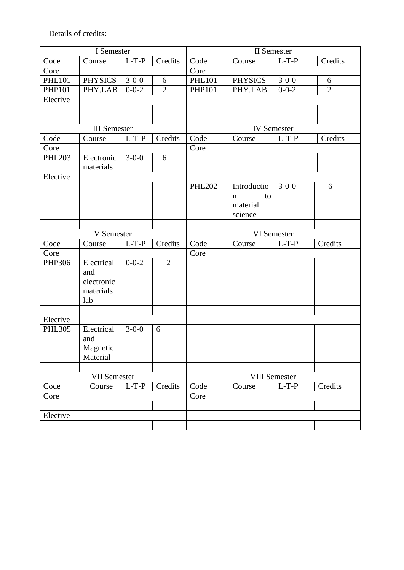Details of credits:

| I Semester          |                         |             |                | II Semester   |                    |             |                |  |
|---------------------|-------------------------|-------------|----------------|---------------|--------------------|-------------|----------------|--|
| Code                | Course                  | $L-T-P$     | Credits        | Code          | Course             | $L-T-P$     | Credits        |  |
| Core                |                         |             |                | Core          |                    |             |                |  |
| <b>PHL101</b>       | <b>PHYSICS</b>          | $3 - 0 - 0$ | 6              | <b>PHL101</b> | <b>PHYSICS</b>     | $3-0-0$     | 6              |  |
| <b>PHP101</b>       | PHY.LAB                 | $0 - 0 - 2$ | $\overline{2}$ | <b>PHP101</b> | PHY.LAB            | $0 - 0 - 2$ | $\overline{2}$ |  |
| Elective            |                         |             |                |               |                    |             |                |  |
|                     |                         |             |                |               |                    |             |                |  |
|                     |                         |             |                |               |                    |             |                |  |
| <b>III</b> Semester |                         |             |                |               | <b>IV</b> Semester |             |                |  |
| Code                | Course                  | $L-T-P$     | Credits        | Code          | Course             | $L-T-P$     | Credits        |  |
| Core                |                         |             |                | Core          |                    |             |                |  |
| <b>PHL203</b>       | Electronic<br>materials | $3-0-0$     | 6              |               |                    |             |                |  |
| Elective            |                         |             |                |               |                    |             |                |  |
|                     |                         |             |                | <b>PHL202</b> | Introductio        | $3 - 0 - 0$ | 6              |  |
|                     |                         |             |                |               | to<br>n            |             |                |  |
|                     |                         |             |                |               | material           |             |                |  |
|                     |                         |             |                |               | science            |             |                |  |
|                     |                         |             |                |               |                    |             |                |  |
|                     | V Semester              |             |                |               | VI Semester        |             |                |  |
| Code                | Course                  | $L-T-P$     | Credits        | Code          | Course             | $L-T-P$     | Credits        |  |
|                     |                         |             |                |               |                    |             |                |  |
| Core                |                         |             |                | Core          |                    |             |                |  |
| PHP306              | Electrical              | $0 - 0 - 2$ | $\overline{2}$ |               |                    |             |                |  |
|                     | and                     |             |                |               |                    |             |                |  |
|                     | electronic              |             |                |               |                    |             |                |  |
|                     | materials               |             |                |               |                    |             |                |  |
|                     | lab                     |             |                |               |                    |             |                |  |
|                     |                         |             |                |               |                    |             |                |  |
| Elective            |                         |             |                |               |                    |             |                |  |
| <b>PHL305</b>       | Electrical              | $3-0-0$     | 6              |               |                    |             |                |  |
|                     | and                     |             |                |               |                    |             |                |  |
|                     | Magnetic                |             |                |               |                    |             |                |  |
|                     | Material                |             |                |               |                    |             |                |  |
|                     |                         |             |                |               |                    |             |                |  |
|                     | <b>VII Semester</b>     |             |                |               | VIII Semester      |             |                |  |
| Code                | Course                  | $L-T-P$     | Credits        | Code          | Course             | $L-T-P$     | Credits        |  |
| Core                |                         |             |                | Core          |                    |             |                |  |
|                     |                         |             |                |               |                    |             |                |  |
| Elective            |                         |             |                |               |                    |             |                |  |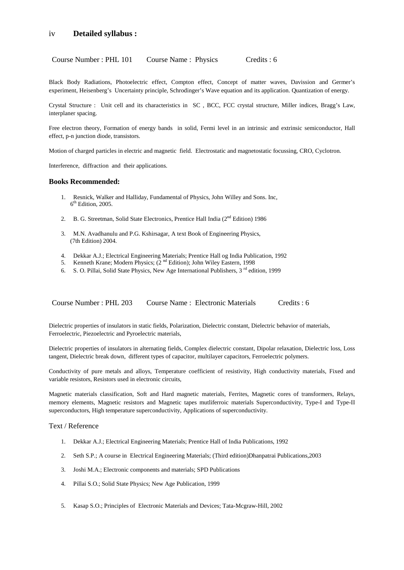## iv **Detailed syllabus :**

Course Number : PHL 101 Course Name : Physics Credits : 6

Black Body Radiations, Photoelectric effect, Compton effect, Concept of matter waves, Davission and Germer's experiment, Heisenberg's Uncertainty principle, Schrodinger's Wave equation and its application. Quantization of energy.

Crystal Structure : Unit cell and its characteristics in SC , BCC, FCC crystal structure, Miller indices, Bragg's Law, interplaner spacing.

Free electron theory, Formation of energy bands in solid, Fermi level in an intrinsic and extrinsic semiconductor, Hall effect, p-n junction diode, transistors.

Motion of charged particles in electric and magnetic field. Electrostatic and magnetostatic focussing, CRO, Cyclotron.

Interference, diffraction and their applications.

#### **Books Recommended:**

- 1. Resnick, Walker and Halliday, Fundamental of Physics, John Willey and Sons. Inc,  $6<sup>th</sup>$  Edition, 2005.
- 2. B. G. Streetman, Solid State Electronics, Prentice Hall India (2<sup>nd</sup> Edition) 1986
- 3. M.N. Avadhanulu and P.G. Kshirsagar, A text Book of Engineering Physics, (7th Edition) 2004.
- 4. Dekkar A.J.; Electrical Engineering Materials; Prentice Hall og India Publication, 1992
- 5. Kenneth Krane; Modern Physics; (2<sup>nd</sup> Edition); John Wiley Eastern, 1998
- 6. S. O. Pillai, Solid State Physics, New Age International Publishers, 3<sup>rd</sup> edition, 1999

Course Number : PHL 203 Course Name : Electronic Materials Credits : 6

Dielectric properties of insulators in static fields, Polarization, Dielectric constant, Dielectric behavior of materials, Ferroelectric, Piezoelectric and Pyroelectric materials,

Dielectric properties of insulators in alternating fields, Complex dielectric constant, Dipolar relaxation, Dielectric loss, Loss tangent, Dielectric break down, different types of capacitor, multilayer capacitors, Ferroelectric polymers.

Conductivity of pure metals and alloys, Temperature coefficient of resistivity, High conductivity materials, Fixed and variable resistors, Resistors used in electronic circuits,

Magnetic materials classification, Soft and Hard magnetic materials, Ferrites, Magnetic cores of transformers, Relays, memory elements, Magnetic resistors and Magnetic tapes mutliferroic materials Superconductivity, Type-I and Type-II superconductors, High temperature superconductivity, Applications of superconductivity.

Text / Reference

- 1. Dekkar A.J.; Electrical Engineering Materials; Prentice Hall of India Publications, 1992
- 2. Seth S.P.; A course in Electrical Engineering Materials; (Third edition)Dhanpatrai Publications,2003
- 3. Joshi M.A.; Electronic components and materials; SPD Publications
- 4. Pillai S.O.; Solid State Physics; New Age Publication, 1999
- 5. Kasap S.O.; Principles of Electronic Materials and Devices; Tata-Mcgraw-Hill, 2002